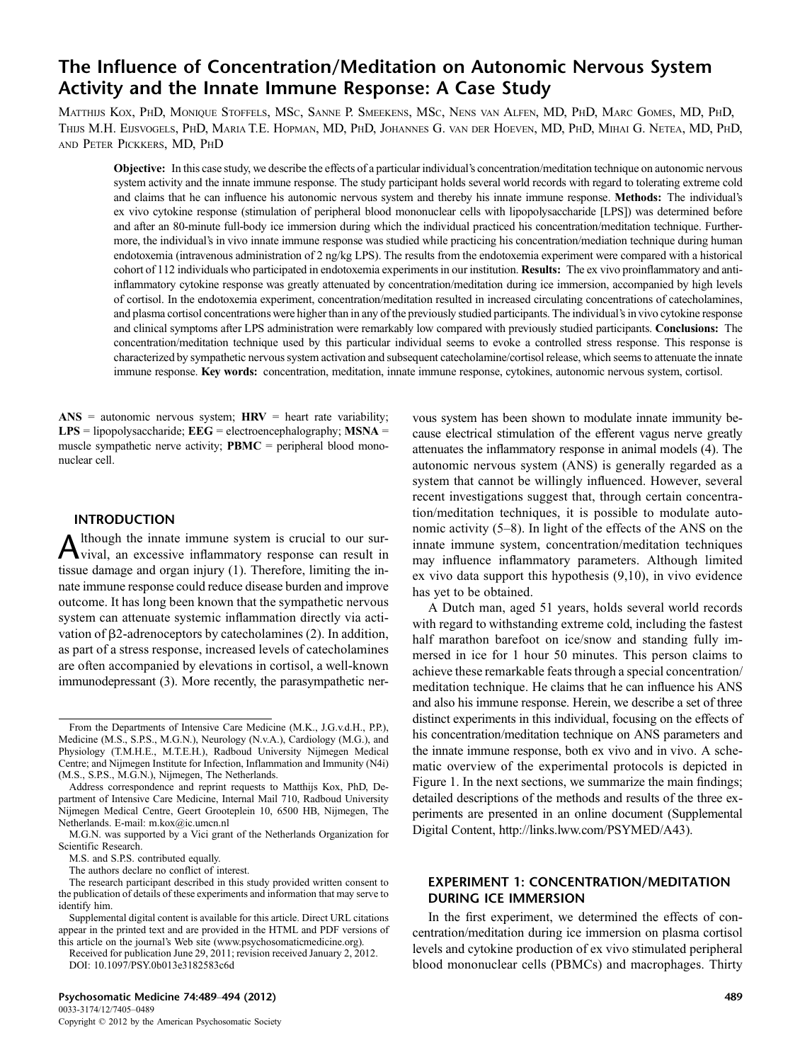# The Influence of Concentration/Meditation on Autonomic Nervous System Activity and the Innate Immune Response: A Case Study

MATTHIJS KOX, PHD, MONIQUE STOFFELS, MSC, SANNE P. SMEEKENS, MSC, NENS VAN ALFEN, MD, PHD, MARC GOMES, MD, PHD, THIJS M.H. EIJSVOGELS, PHD, MARIA T.E. HOPMAN, MD, PHD, JOHANNES G. VAN DER HOEVEN, MD, PHD, MIHAI G. NETEA, MD, PHD, AND PETER PICKKERS, MD, PHD

Objective: In this case study, we describe the effects of a particular individual's concentration/meditation technique on autonomic nervous system activity and the innate immune response. The study participant holds several world records with regard to tolerating extreme cold and claims that he can influence his autonomic nervous system and thereby his innate immune response. Methods: The individual's ex vivo cytokine response (stimulation of peripheral blood mononuclear cells with lipopolysaccharide [LPS]) was determined before and after an 80-minute full-body ice immersion during which the individual practiced his concentration/meditation technique. Furthermore, the individual's in vivo innate immune response was studied while practicing his concentration/mediation technique during human endotoxemia (intravenous administration of 2 ng/kg LPS). The results from the endotoxemia experiment were compared with a historical cohort of 112 individuals who participated in endotoxemia experiments in our institution. Results: The ex vivo proinflammatory and antiinflammatory cytokine response was greatly attenuated by concentration/meditation during ice immersion, accompanied by high levels of cortisol. In the endotoxemia experiment, concentration/meditation resulted in increased circulating concentrations of catecholamines, and plasma cortisol concentrations were higher than in any of the previously studied participants. The individual's in vivo cytokine response and clinical symptoms after LPS administration were remarkably low compared with previously studied participants. Conclusions: The concentration/meditation technique used by this particular individual seems to evoke a controlled stress response. This response is characterized by sympathetic nervous system activation and subsequent catecholamine/cortisol release, which seems to attenuate the innate immune response. Key words: concentration, meditation, innate immune response, cytokines, autonomic nervous system, cortisol.

 $ANS =$  autonomic nervous system;  $HRV =$  heart rate variability;  $LPS =$  lipopolysaccharide;  $EEG =$  electroencephalography;  $MSNA =$ muscle sympathetic nerve activity;  $\mathbf{PBMC}$  = peripheral blood mononuclear cell.

#### INTRODUCTION

Although the innate immune system is crucial to our sur-<br>vival, an excessive inflammatory response can result in tissue damage and organ injury (1). Therefore, limiting the innate immune response could reduce disease burden and improve outcome. It has long been known that the sympathetic nervous system can attenuate systemic inflammation directly via activation of  $\beta$ 2-adrenoceptors by catecholamines (2). In addition, as part of a stress response, increased levels of catecholamines are often accompanied by elevations in cortisol, a well-known immunodepressant (3). More recently, the parasympathetic ner-

M.S. and S.P.S. contributed equally.

The authors declare no conflict of interest.

vous system has been shown to modulate innate immunity because electrical stimulation of the efferent vagus nerve greatly attenuates the inflammatory response in animal models (4). The autonomic nervous system (ANS) is generally regarded as a system that cannot be willingly influenced. However, several recent investigations suggest that, through certain concentration/meditation techniques, it is possible to modulate autonomic activity  $(5-8)$ . In light of the effects of the ANS on the innate immune system, concentration/meditation techniques may influence inflammatory parameters. Although limited ex vivo data support this hypothesis (9,10), in vivo evidence has yet to be obtained.

A Dutch man, aged 51 years, holds several world records with regard to withstanding extreme cold, including the fastest half marathon barefoot on ice/snow and standing fully immersed in ice for 1 hour 50 minutes. This person claims to achieve these remarkable feats through a special concentration/ meditation technique. He claims that he can influence his ANS and also his immune response. Herein, we describe a set of three distinct experiments in this individual, focusing on the effects of his concentration/meditation technique on ANS parameters and the innate immune response, both ex vivo and in vivo. A schematic overview of the experimental protocols is depicted in Figure 1. In the next sections, we summarize the main findings; detailed descriptions of the methods and results of the three experiments are presented in an online document (Supplemental Digital Content, http://links.lww.com/PSYMED/A43).

### EXPERIMENT 1: CONCENTRATION/MEDITATION DURING ICE IMMERSION

In the first experiment, we determined the effects of concentration/meditation during ice immersion on plasma cortisol levels and cytokine production of ex vivo stimulated peripheral blood mononuclear cells (PBMCs) and macrophages. Thirty

From the Departments of Intensive Care Medicine (M.K., J.G.v.d.H., P.P.), Medicine (M.S., S.P.S., M.G.N.), Neurology (N.v.A.), Cardiology (M.G.), and Physiology (T.M.H.E., M.T.E.H.), Radboud University Nijmegen Medical Centre; and Nijmegen Institute for Infection, Inflammation and Immunity (N4i) (M.S., S.P.S., M.G.N.), Nijmegen, The Netherlands.

Address correspondence and reprint requests to Matthijs Kox, PhD, Department of Intensive Care Medicine, Internal Mail 710, Radboud University Nijmegen Medical Centre, Geert Grooteplein 10, 6500 HB, Nijmegen, The Netherlands. E-mail: m.kox@ic.umcn.nl

M.G.N. was supported by a Vici grant of the Netherlands Organization for Scientific Research.

The research participant described in this study provided written consent to the publication of details of these experiments and information that may serve to identify him.

Supplemental digital content is available for this article. Direct URL citations appear in the printed text and are provided in the HTML and PDF versions of this article on the journal's Web site (www.psychosomaticmedicine.org).

Received for publication June 29, 2011; revision received January 2, 2012. DOI: 10.1097/PSY.0b013e3182583c6d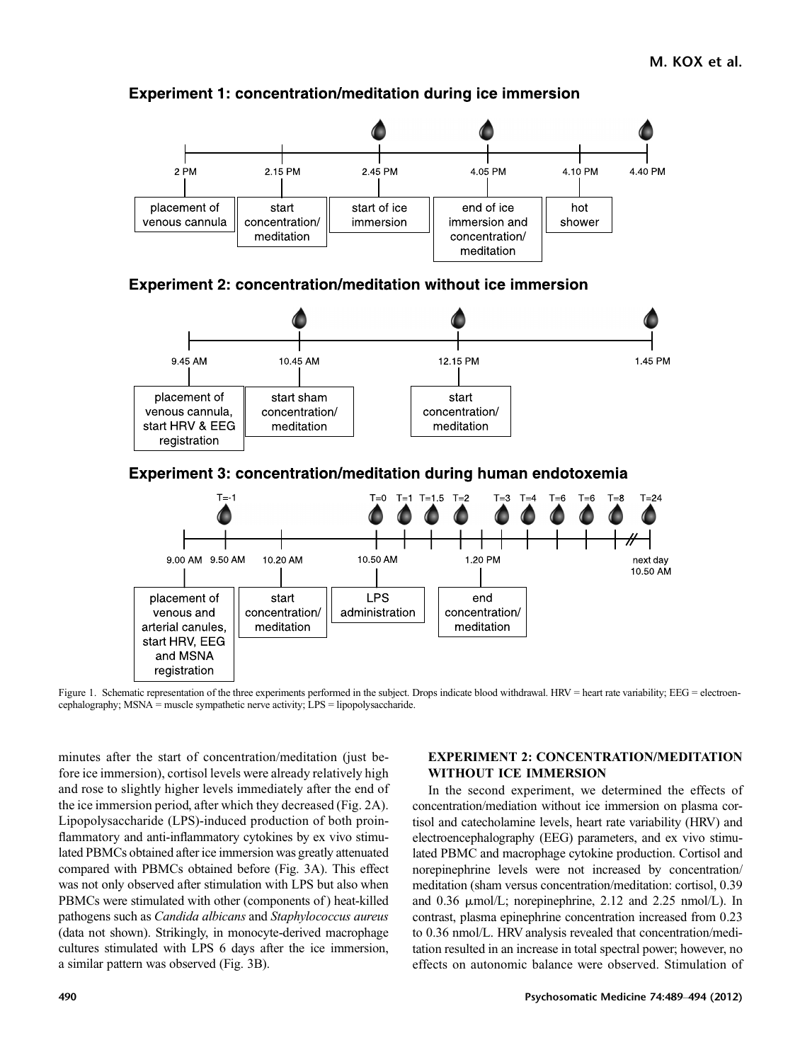

## **Experiment 1: concentration/meditation during ice immersion**

## **Experiment 2: concentration/meditation without ice immersion**



## Experiment 3: concentration/meditation during human endotoxemia



Figure 1. Schematic representation of the three experiments performed in the subject. Drops indicate blood withdrawal. HRV = heart rate variability; EEG = electroencephalography; MSNA = muscle sympathetic nerve activity; LPS = lipopolysaccharide.

minutes after the start of concentration/meditation (just before ice immersion), cortisol levels were already relatively high and rose to slightly higher levels immediately after the end of the ice immersion period, after which they decreased (Fig. 2A). Lipopolysaccharide (LPS)-induced production of both proinflammatory and anti-inflammatory cytokines by ex vivo stimulated PBMCs obtained after ice immersion was greatly attenuated compared with PBMCs obtained before (Fig. 3A). This effect was not only observed after stimulation with LPS but also when PBMCs were stimulated with other (components of ) heat-killed pathogens such as Candida albicans and Staphylococcus aureus (data not shown). Strikingly, in monocyte-derived macrophage cultures stimulated with LPS 6 days after the ice immersion, a similar pattern was observed (Fig. 3B).

### EXPERIMENT 2: CONCENTRATION/MEDITATION WITHOUT ICE IMMERSION

In the second experiment, we determined the effects of concentration/mediation without ice immersion on plasma cortisol and catecholamine levels, heart rate variability (HRV) and electroencephalography (EEG) parameters, and ex vivo stimulated PBMC and macrophage cytokine production. Cortisol and norepinephrine levels were not increased by concentration/ meditation (sham versus concentration/meditation: cortisol, 0.39 and  $0.36 \mu$ mol/L; norepinephrine, 2.12 and 2.25 nmol/L). In contrast, plasma epinephrine concentration increased from 0.23 to 0.36 nmol/L. HRV analysis revealed that concentration/meditation resulted in an increase in total spectral power; however, no effects on autonomic balance were observed. Stimulation of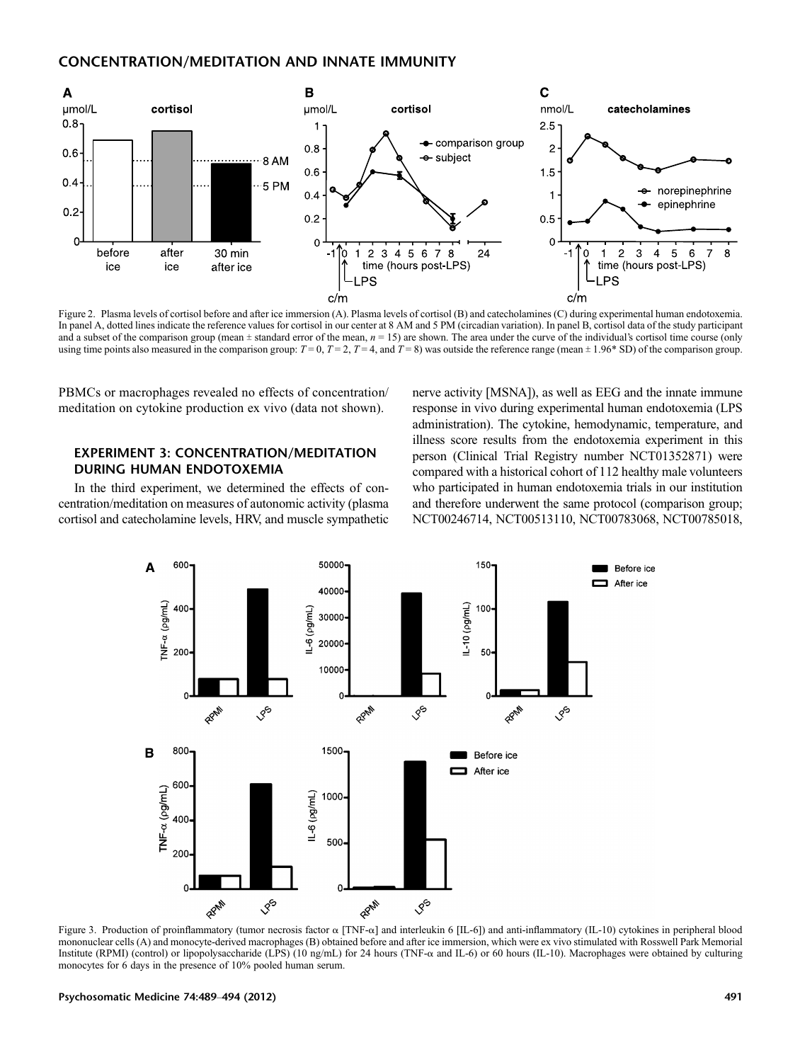### CONCENTRATION/MEDITATION AND INNATE IMMUNITY



Figure 2. Plasma levels of cortisol before and after ice immersion (A). Plasma levels of cortisol (B) and catecholamines (C) during experimental human endotoxemia. In panel A, dotted lines indicate the reference values for cortisol in our center at 8 AM and 5 PM (circadian variation). In panel B, cortisol data of the study participant and a subset of the comparison group (mean  $\pm$  standard error of the mean,  $n = 15$ ) are shown. The area under the curve of the individual's cortisol time course (only using time points also measured in the comparison group:  $T = 0$ ,  $T = 2$ ,  $T = 4$ , and  $T = 8$ ) was outside the reference range (mean  $\pm$  1.96\* SD) of the comparison group.

PBMCs or macrophages revealed no effects of concentration/ meditation on cytokine production ex vivo (data not shown).

#### EXPERIMENT 3: CONCENTRATION/MEDITATION DURING HUMAN ENDOTOXEMIA

In the third experiment, we determined the effects of concentration/meditation on measures of autonomic activity (plasma cortisol and catecholamine levels, HRV, and muscle sympathetic

nerve activity [MSNA]), as well as EEG and the innate immune response in vivo during experimental human endotoxemia (LPS administration). The cytokine, hemodynamic, temperature, and illness score results from the endotoxemia experiment in this person (Clinical Trial Registry number NCT01352871) were compared with a historical cohort of 112 healthy male volunteers who participated in human endotoxemia trials in our institution and therefore underwent the same protocol (comparison group; NCT00246714, NCT00513110, NCT00783068, NCT00785018,



Figure 3. Production of proinflammatory (tumor necrosis factor  $\alpha$  [TNF- $\alpha$ ] and interleukin 6 [IL-6]) and anti-inflammatory (IL-10) cytokines in peripheral blood mononuclear cells (A) and monocyte-derived macrophages (B) obtained before and after ice immersion, which were ex vivo stimulated with Rosswell Park Memorial Institute (RPMI) (control) or lipopolysaccharide (LPS) (10 ng/mL) for 24 hours (TNF- $\alpha$  and IL-6) or 60 hours (IL-10). Macrophages were obtained by culturing monocytes for 6 days in the presence of 10% pooled human serum.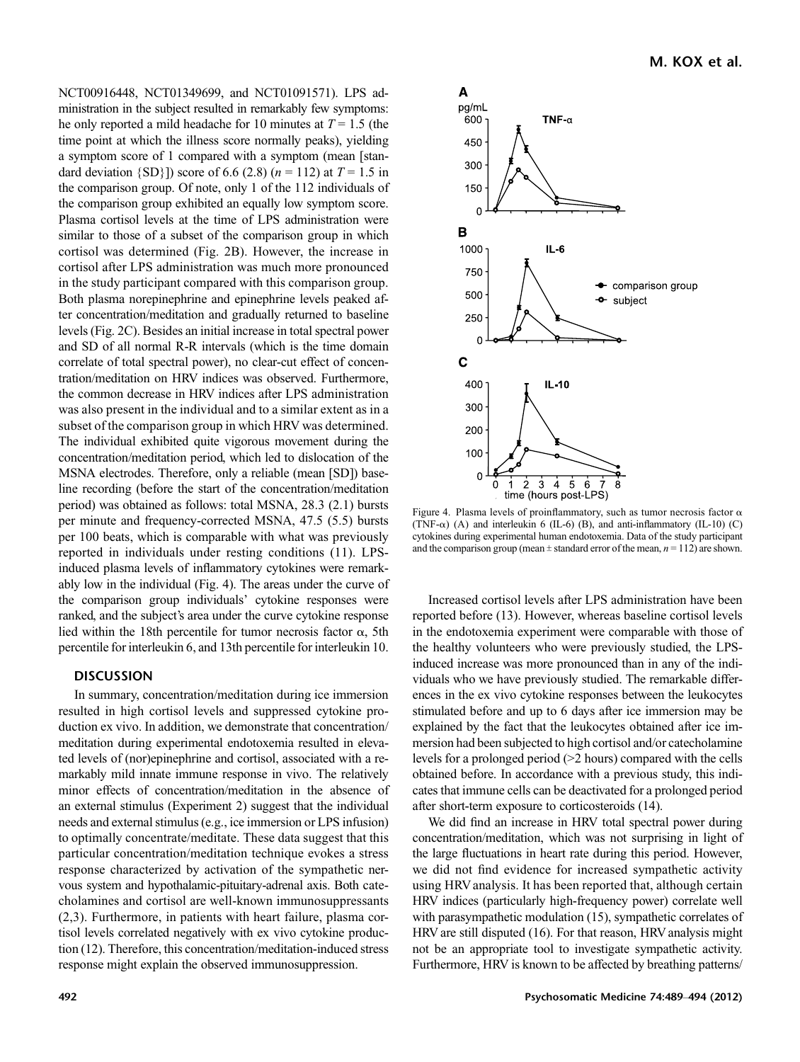NCT00916448, NCT01349699, and NCT01091571). LPS administration in the subject resulted in remarkably few symptoms: he only reported a mild headache for 10 minutes at  $T = 1.5$  (the time point at which the illness score normally peaks), yielding a symptom score of 1 compared with a symptom (mean [standard deviation {SD}]) score of 6.6 (2.8) ( $n = 112$ ) at  $T = 1.5$  in the comparison group. Of note, only 1 of the 112 individuals of the comparison group exhibited an equally low symptom score. Plasma cortisol levels at the time of LPS administration were similar to those of a subset of the comparison group in which cortisol was determined (Fig. 2B). However, the increase in cortisol after LPS administration was much more pronounced in the study participant compared with this comparison group. Both plasma norepinephrine and epinephrine levels peaked after concentration/meditation and gradually returned to baseline levels (Fig. 2C). Besides an initial increase in total spectral power and SD of all normal R-R intervals (which is the time domain correlate of total spectral power), no clear-cut effect of concentration/meditation on HRV indices was observed. Furthermore, the common decrease in HRV indices after LPS administration was also present in the individual and to a similar extent as in a subset of the comparison group in which HRV was determined. The individual exhibited quite vigorous movement during the concentration/meditation period, which led to dislocation of the MSNA electrodes. Therefore, only a reliable (mean [SD]) baseline recording (before the start of the concentration/meditation period) was obtained as follows: total MSNA, 28.3 (2.1) bursts per minute and frequency-corrected MSNA, 47.5 (5.5) bursts per 100 beats, which is comparable with what was previously reported in individuals under resting conditions (11). LPSinduced plasma levels of inflammatory cytokines were remarkably low in the individual (Fig. 4). The areas under the curve of the comparison group individuals' cytokine responses were ranked, and the subject's area under the curve cytokine response lied within the 18th percentile for tumor necrosis factor  $\alpha$ , 5th percentile for interleukin 6, and 13th percentile for interleukin 10.

#### **DISCUSSION**

In summary, concentration/meditation during ice immersion resulted in high cortisol levels and suppressed cytokine production ex vivo. In addition, we demonstrate that concentration/ meditation during experimental endotoxemia resulted in elevated levels of (nor)epinephrine and cortisol, associated with a remarkably mild innate immune response in vivo. The relatively minor effects of concentration/meditation in the absence of an external stimulus (Experiment 2) suggest that the individual needs and external stimulus (e.g., ice immersion or LPS infusion) to optimally concentrate/meditate. These data suggest that this particular concentration/meditation technique evokes a stress response characterized by activation of the sympathetic nervous system and hypothalamic-pituitary-adrenal axis. Both catecholamines and cortisol are well-known immunosuppressants (2,3). Furthermore, in patients with heart failure, plasma cortisol levels correlated negatively with ex vivo cytokine production (12). Therefore, this concentration/meditation-induced stress response might explain the observed immunosuppression.



Figure 4. Plasma levels of proinflammatory, such as tumor necrosis factor  $\alpha$ (TNF- $\alpha$ ) (A) and interleukin 6 (IL-6) (B), and anti-inflammatory (IL-10) (C) cytokines during experimental human endotoxemia. Data of the study participant and the comparison group (mean  $\pm$  standard error of the mean,  $n = 112$ ) are shown.

Increased cortisol levels after LPS administration have been reported before (13). However, whereas baseline cortisol levels in the endotoxemia experiment were comparable with those of the healthy volunteers who were previously studied, the LPSinduced increase was more pronounced than in any of the individuals who we have previously studied. The remarkable differences in the ex vivo cytokine responses between the leukocytes stimulated before and up to 6 days after ice immersion may be explained by the fact that the leukocytes obtained after ice immersion had been subjected to high cortisol and/or catecholamine levels for a prolonged period  $(>2$  hours) compared with the cells obtained before. In accordance with a previous study, this indicates that immune cells can be deactivated for a prolonged period after short-term exposure to corticosteroids (14).

We did find an increase in HRV total spectral power during concentration/meditation, which was not surprising in light of the large fluctuations in heart rate during this period. However, we did not find evidence for increased sympathetic activity using HRV analysis. It has been reported that, although certain HRV indices (particularly high-frequency power) correlate well with parasympathetic modulation (15), sympathetic correlates of HRV are still disputed (16). For that reason, HRV analysis might not be an appropriate tool to investigate sympathetic activity. Furthermore, HRV is known to be affected by breathing patterns/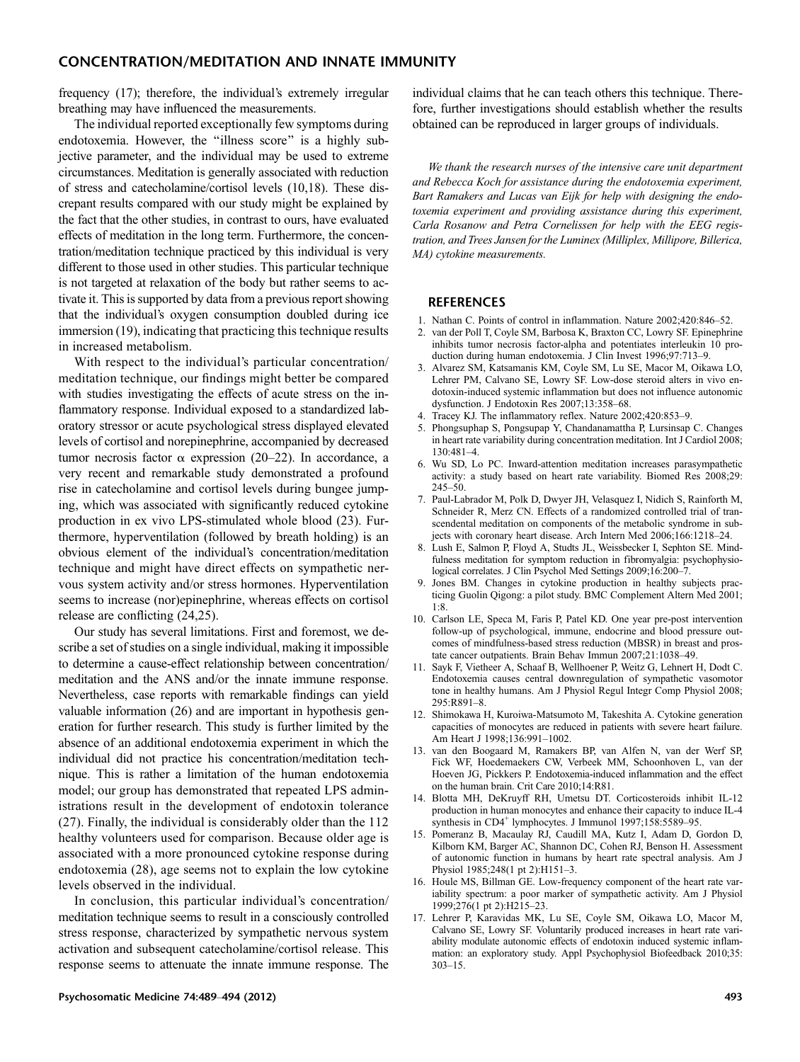frequency (17); therefore, the individual's extremely irregular breathing may have influenced the measurements.

The individual reported exceptionally few symptoms during endotoxemia. However, the ''illness score'' is a highly subjective parameter, and the individual may be used to extreme circumstances. Meditation is generally associated with reduction of stress and catecholamine/cortisol levels (10,18). These discrepant results compared with our study might be explained by the fact that the other studies, in contrast to ours, have evaluated effects of meditation in the long term. Furthermore, the concentration/meditation technique practiced by this individual is very different to those used in other studies. This particular technique is not targeted at relaxation of the body but rather seems to activate it. This is supported by data from a previous report showing that the individual's oxygen consumption doubled during ice immersion (19), indicating that practicing this technique results in increased metabolism.

With respect to the individual's particular concentration/ meditation technique, our findings might better be compared with studies investigating the effects of acute stress on the inflammatory response. Individual exposed to a standardized laboratory stressor or acute psychological stress displayed elevated levels of cortisol and norepinephrine, accompanied by decreased tumor necrosis factor  $\alpha$  expression (20-22). In accordance, a very recent and remarkable study demonstrated a profound rise in catecholamine and cortisol levels during bungee jumping, which was associated with significantly reduced cytokine production in ex vivo LPS-stimulated whole blood (23). Furthermore, hyperventilation (followed by breath holding) is an obvious element of the individual's concentration/meditation technique and might have direct effects on sympathetic nervous system activity and/or stress hormones. Hyperventilation seems to increase (nor)epinephrine, whereas effects on cortisol release are conflicting (24,25).

Our study has several limitations. First and foremost, we describe a set of studies on a single individual, making it impossible to determine a cause-effect relationship between concentration/ meditation and the ANS and/or the innate immune response. Nevertheless, case reports with remarkable findings can yield valuable information (26) and are important in hypothesis generation for further research. This study is further limited by the absence of an additional endotoxemia experiment in which the individual did not practice his concentration/meditation technique. This is rather a limitation of the human endotoxemia model; our group has demonstrated that repeated LPS administrations result in the development of endotoxin tolerance (27). Finally, the individual is considerably older than the 112 healthy volunteers used for comparison. Because older age is associated with a more pronounced cytokine response during endotoxemia (28), age seems not to explain the low cytokine levels observed in the individual.

In conclusion, this particular individual's concentration/ meditation technique seems to result in a consciously controlled stress response, characterized by sympathetic nervous system activation and subsequent catecholamine/cortisol release. This response seems to attenuate the innate immune response. The

Psychosomatic Medicine 74:489–494 (2012) 2022 2023 1994 1994 1995 2022 2034 1995 2022 2034 1995 2022 2034 1995

individual claims that he can teach others this technique. Therefore, further investigations should establish whether the results obtained can be reproduced in larger groups of individuals.

We thank the research nurses of the intensive care unit department and Rebecca Koch for assistance during the endotoxemia experiment, Bart Ramakers and Lucas van Eijk for help with designing the endotoxemia experiment and providing assistance during this experiment, Carla Rosanow and Petra Cornelissen for help with the EEG registration, and Trees Jansen for the Luminex (Milliplex, Millipore, Billerica, MA) cytokine measurements.

#### **REFERENCES**

- 1. Nathan C. Points of control in inflammation. Nature 2002;420:846-52.
- 2. van der Poll T, Coyle SM, Barbosa K, Braxton CC, Lowry SF. Epinephrine inhibits tumor necrosis factor-alpha and potentiates interleukin 10 production during human endotoxemia. J Clin Invest 1996;97:713-9.
- 3. Alvarez SM, Katsamanis KM, Coyle SM, Lu SE, Macor M, Oikawa LO, Lehrer PM, Calvano SE, Lowry SF. Low-dose steroid alters in vivo endotoxin-induced systemic inflammation but does not influence autonomic dysfunction. J Endotoxin Res 2007;13:358-68.
- 4. Tracey KJ. The inflammatory reflex. Nature 2002;420:853-9.
- 5. Phongsuphap S, Pongsupap Y, Chandanamattha P, Lursinsap C. Changes in heart rate variability during concentration meditation. Int J Cardiol 2008; 130:481-4.
- 6. Wu SD, Lo PC. Inward-attention meditation increases parasympathetic activity: a study based on heart rate variability. Biomed Res 2008;29:  $245 - 50.$
- 7. Paul-Labrador M, Polk D, Dwyer JH, Velasquez I, Nidich S, Rainforth M, Schneider R, Merz CN. Effects of a randomized controlled trial of transcendental meditation on components of the metabolic syndrome in subjects with coronary heart disease. Arch Intern Med 2006;166:1218-24.
- 8. Lush E, Salmon P, Floyd A, Studts JL, Weissbecker I, Sephton SE. Mindfulness meditation for symptom reduction in fibromyalgia: psychophysiological correlates. J Clin Psychol Med Settings 2009;16:200-7.
- 9. Jones BM. Changes in cytokine production in healthy subjects practicing Guolin Qigong: a pilot study. BMC Complement Altern Med 2001; 1:8.
- 10. Carlson LE, Speca M, Faris P, Patel KD. One year pre-post intervention follow-up of psychological, immune, endocrine and blood pressure outcomes of mindfulness-based stress reduction (MBSR) in breast and prostate cancer outpatients. Brain Behav Immun 2007;21:1038-49.
- 11. Sayk F, Vietheer A, Schaaf B, Wellhoener P, Weitz G, Lehnert H, Dodt C. Endotoxemia causes central downregulation of sympathetic vasomotor tone in healthy humans. Am J Physiol Regul Integr Comp Physiol 2008; 295:R891-8.
- 12. Shimokawa H, Kuroiwa-Matsumoto M, Takeshita A. Cytokine generation capacities of monocytes are reduced in patients with severe heart failure. Am Heart J 1998;136:991-1002.
- 13. van den Boogaard M, Ramakers BP, van Alfen N, van der Werf SP, Fick WF, Hoedemaekers CW, Verbeek MM, Schoonhoven L, van der Hoeven JG, Pickkers P. Endotoxemia-induced inflammation and the effect on the human brain. Crit Care 2010;14:R81.
- 14. Blotta MH, DeKruyff RH, Umetsu DT. Corticosteroids inhibit IL-12 production in human monocytes and enhance their capacity to induce IL-4 synthesis in  $CD4^+$  lymphocytes. J Immunol 1997;158:5589-95.
- 15. Pomeranz B, Macaulay RJ, Caudill MA, Kutz I, Adam D, Gordon D, Kilborn KM, Barger AC, Shannon DC, Cohen RJ, Benson H. Assessment of autonomic function in humans by heart rate spectral analysis. Am J Physiol 1985;248(1 pt 2):H151-3.
- 16. Houle MS, Billman GE. Low-frequency component of the heart rate variability spectrum: a poor marker of sympathetic activity. Am J Physiol 1999;276(1 pt 2):H215-23.
- 17. Lehrer P, Karavidas MK, Lu SE, Coyle SM, Oikawa LO, Macor M, Calvano SE, Lowry SF. Voluntarily produced increases in heart rate variability modulate autonomic effects of endotoxin induced systemic inflammation: an exploratory study. Appl Psychophysiol Biofeedback 2010;35:  $303 - 15$ .